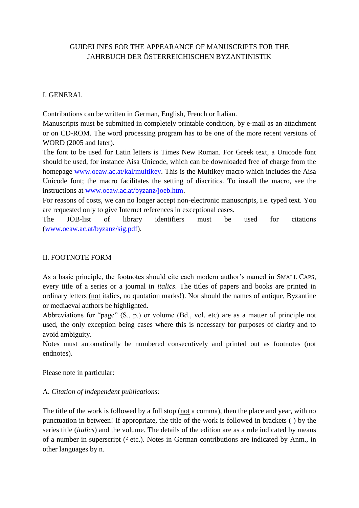## GUIDELINES FOR THE APPEARANCE OF MANUSCRIPTS FOR THE JAHRBUCH DER ÖSTERREICHISCHEN BYZANTINISTIK

## I. GENERAL

Contributions can be written in German, English, French or Italian.

Manuscripts must be submitted in completely printable condition, by e-mail as an attachment or on CD-ROM. The word processing program has to be one of the more recent versions of WORD (2005 and later).

The font to be used for Latin letters is Times New Roman. For Greek text, a Unicode font should be used, for instance Aisa Unicode, which can be downloaded free of charge from the homepage [www.oeaw.ac.at/kal/multikey.](http://www.oeaw.ac.at/kal/multikey) This is the Multikey macro which includes the Aisa Unicode font; the macro facilitates the setting of diacritics. To install the macro, see the instructions at [www.oeaw.ac.at/byzanz/joeb.htm.](http://www.oeaw.ac.at/byzanz/joeb.htm)

For reasons of costs, we can no longer accept non-electronic manuscripts, i.e. typed text. You are requested only to give Internet references in exceptional cases.

The JÖB-list of library identifiers must be used for citations [\(www.oeaw.ac.at/byzanz/sig.pdf\)](http://www.oeaw.ac.at/byzanz/sig.pdf).

### II. FOOTNOTE FORM

As a basic principle, the footnotes should cite each modern author's named in SMALL CAPS, every title of a series or a journal in *italics*. The titles of papers and books are printed in ordinary letters (not italics, no quotation marks!). Nor should the names of antique, Byzantine or mediaeval authors be highlighted.

Abbreviations for "page" (S., p.) or volume (Bd., vol. etc) are as a matter of principle not used, the only exception being cases where this is necessary for purposes of clarity and to avoid ambiguity.

Notes must automatically be numbered consecutively and printed out as footnotes (not endnotes).

Please note in particular:

## A. *Citation of independent publications:*

The title of the work is followed by a full stop (not a comma), then the place and year, with no punctuation in between! If appropriate, the title of the work is followed in brackets ( ) by the series title (*italics*) and the volume. The details of the edition are as a rule indicated by means of a number in superscript (<sup>2</sup> etc.). Notes in German contributions are indicated by Anm., in other languages by n.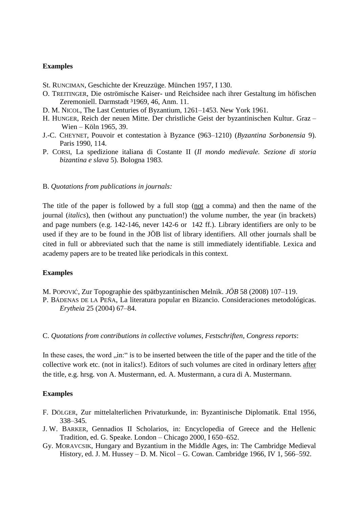### **Examples**

- St. RUNCIMAN, Geschichte der Kreuzzüge. München 1957, I 130.
- O. TREITINGER, Die oströmische Kaiser- und Reichsidee nach ihrer Gestaltung im höfischen Zeremoniell. Darmstadt 31969, 46, Anm. 11.
- D. M. NICOL, The Last Centuries of Byzantium, 1261–1453. New York 1961.
- H. HUNGER, Reich der neuen Mitte. Der christliche Geist der byzantinischen Kultur. Graz Wien – Köln 1965, 39.
- J.-C. CHEYNET, Pouvoir et contestation à Byzance (963–1210) (*Byzantina Sorbonensia* 9). Paris 1990, 114.
- P. CORSI, La spedizione italiana di Costante II (*Il mondo medievale. Sezione di storia bizantina e slava* 5). Bologna 1983.

#### B. *Quotations from publications in journals:*

The title of the paper is followed by a full stop (not a comma) and then the name of the journal (*italics*), then (without any punctuation!) the volume number, the year (in brackets) and page numbers (e.g. 142-146, never 142-6 or 142 ff.). Library identifiers are only to be used if they are to be found in the JÖB list of library identifiers. All other journals shall be cited in full or abbreviated such that the name is still immediately identifiable. Lexica and academy papers are to be treated like periodicals in this context.

#### **Examples**

M. POPOVIĆ, Zur Topographie des spätbyzantinischen Melnik. *JÖB* 58 (2008) 107–119.

P. BÁDENAS DE LA PEÑA, La literatura popular en Bizancio. Consideraciones metodológicas. *Erytheia* 25 (2004) 67–84.

C. *Quotations from contributions in collective volumes, Festschriften, Congress reports*:

In these cases, the word "in:" is to be inserted between the title of the paper and the title of the collective work etc. (not in italics!). Editors of such volumes are cited in ordinary letters after the title, e.g. hrsg. von A. Mustermann, ed. A. Mustermann, a cura di A. Mustermann.

### **Examples**

- F. DÖLGER, Zur mittelalterlichen Privaturkunde, in: Byzantinische Diplomatik. Ettal 1956, 338–345.
- J. W. BARKER, Gennadios II Scholarios, in: Encyclopedia of Greece and the Hellenic Tradition, ed. G. Speake. London – Chicago 2000, I 650–652.
- Gy. MORAVCSIK, Hungary and Byzantium in the Middle Ages, in: The Cambridge Medieval History, ed. J. M. Hussey – D. M. Nicol – G. Cowan. Cambridge 1966, IV 1, 566–592.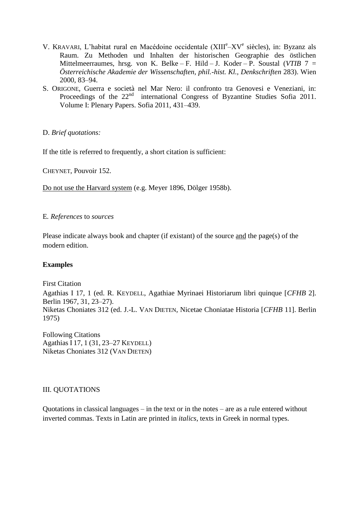- V. KRAVARI, L'habitat rural en Macédoine occidentale (XIIIe-XVe siècles), in: Byzanz als Raum. Zu Methoden und Inhalten der historischen Geographie des östlichen Mittelmeerraumes, hrsg. von K. Belke – F. Hild – J. Koder – P. Soustal (*VTIB* 7 = *Österreichische Akademie der Wissenschaften, phil.-hist. Kl., Denkschriften* 283). Wien 2000, 83–94.
- S. ORIGONE, Guerra e società nel Mar Nero: il confronto tra Genovesi e Veneziani, in: Proceedings of the 22<sup>nd</sup> international Congress of Byzantine Studies Sofia 2011. Volume I: Plenary Papers. Sofia 2011, 431–439.

D. *Brief quotations:* 

If the title is referred to frequently, a short citation is sufficient:

CHEYNET, Pouvoir 152.

Do not use the Harvard system (e.g. Meyer 1896, Dölger 1958b).

### E*. References* to *sources*

Please indicate always book and chapter (if existant) of the source and the page(s) of the modern edition.

## **Examples**

First Citation Agathias I 17, 1 (ed. R. KEYDELL, Agathiae Myrinaei Historiarum libri quinque [*CFHB* 2]. Berlin 1967, 31, 23–27). Niketas Choniates 312 (ed. J.-L. VAN DIETEN, Nicetae Choniatae Historia [*CFHB* 11]. Berlin 1975)

Following Citations Agathias I 17, 1 (31, 23–27 KEYDELL) Niketas Choniates 312 (VAN DIETEN)

## III. QUOTATIONS

Quotations in classical languages – in the text or in the notes – are as a rule entered without inverted commas. Texts in Latin are printed in *italics*, texts in Greek in normal types.